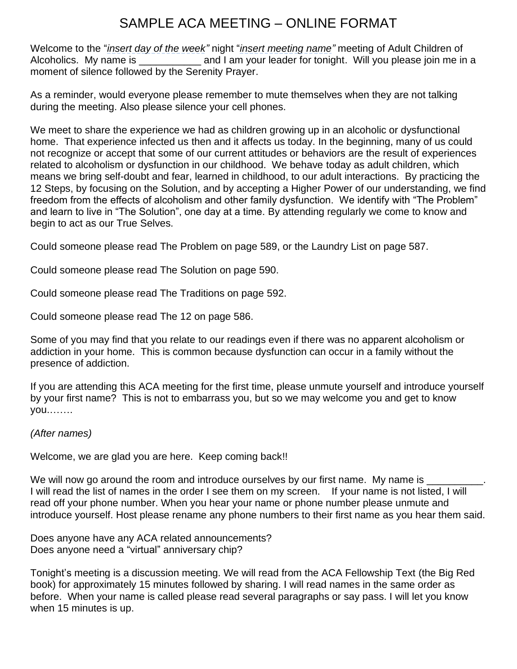## SAMPLE ACA MEETING – ONLINE FORMAT

Welcome to the "*insert day of the week"* night "*insert meeting name"* meeting of Adult Children of Alcoholics. My name is \_\_\_\_\_\_\_\_\_\_\_\_\_ and I am your leader for tonight. Will you please join me in a moment of silence followed by the Serenity Prayer.

As a reminder, would everyone please remember to mute themselves when they are not talking during the meeting. Also please silence your cell phones.

We meet to share the experience we had as children growing up in an alcoholic or dysfunctional home. That experience infected us then and it affects us today. In the beginning, many of us could not recognize or accept that some of our current attitudes or behaviors are the result of experiences related to alcoholism or dysfunction in our childhood. We behave today as adult children, which means we bring self-doubt and fear, learned in childhood, to our adult interactions. By practicing the 12 Steps, by focusing on the Solution, and by accepting a Higher Power of our understanding, we find freedom from the effects of alcoholism and other family dysfunction. We identify with "The Problem" and learn to live in "The Solution", one day at a time. By attending regularly we come to know and begin to act as our True Selves.

Could someone please read The Problem on page 589, or the Laundry List on page 587.

Could someone please read The Solution on page 590.

Could someone please read The Traditions on page 592.

Could someone please read The 12 on page 586.

Some of you may find that you relate to our readings even if there was no apparent alcoholism or addiction in your home. This is common because dysfunction can occur in a family without the presence of addiction.

If you are attending this ACA meeting for the first time, please unmute yourself and introduce yourself by your first name? This is not to embarrass you, but so we may welcome you and get to know you.…….

## *(After names)*

Welcome, we are glad you are here. Keep coming back!!

We will now go around the room and introduce ourselves by our first name. My name is I will read the list of names in the order I see them on my screen. If your name is not listed, I will read off your phone number. When you hear your name or phone number please unmute and introduce yourself. Host please rename any phone numbers to their first name as you hear them said.

Does anyone have any ACA related announcements? Does anyone need a "virtual" anniversary chip?

Tonight's meeting is a discussion meeting. We will read from the ACA Fellowship Text (the Big Red book) for approximately 15 minutes followed by sharing. I will read names in the same order as before. When your name is called please read several paragraphs or say pass. I will let you know when 15 minutes is up.